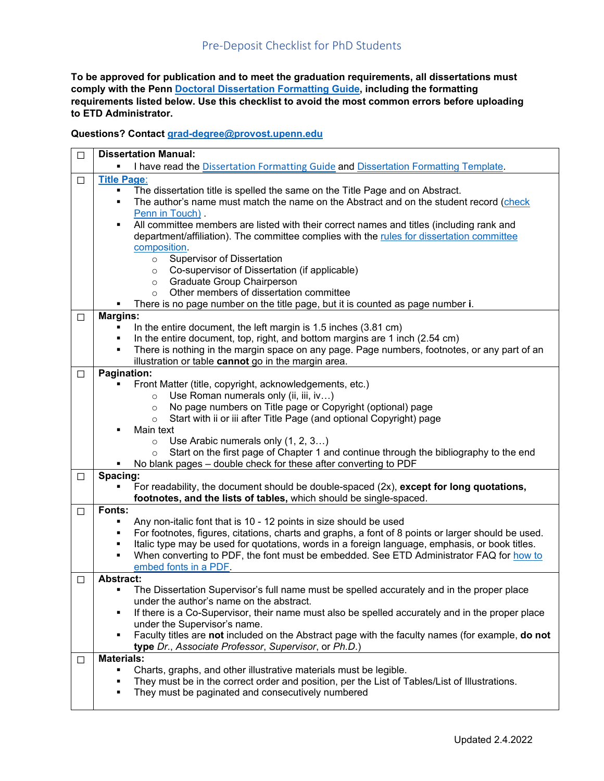## Pre-Deposit Checklist for PhD Students

**To be approved for publication and to meet the graduation requirements, all dissertations must comply with the Penn [Doctoral Dissertation Formatting Guide,](https://provost.upenn.edu/sites/default/files/users/user3179/Penn%20Dissertation%20Formatting%20Guide.docx) including the formatting requirements listed below. Use this checklist to avoid the most common errors before uploading to ETD Administrator.**

**Questions? Contact [grad-degree@provost.upenn.edu](mailto:grad-degree@provost.upenn.edu)**

| $\Box$ | <b>Dissertation Manual:</b>                                                                                                                      |  |  |
|--------|--------------------------------------------------------------------------------------------------------------------------------------------------|--|--|
|        | I have read the Dissertation Formatting Guide and Dissertation Formatting Template.                                                              |  |  |
| $\Box$ | <b>Title Page:</b>                                                                                                                               |  |  |
|        | The dissertation title is spelled the same on the Title Page and on Abstract.                                                                    |  |  |
|        | The author's name must match the name on the Abstract and on the student record (check<br>٠                                                      |  |  |
|        | Penn in Touch).                                                                                                                                  |  |  |
|        | All committee members are listed with their correct names and titles (including rank and<br>٠                                                    |  |  |
|        | department/affiliation). The committee complies with the rules for dissertation committee                                                        |  |  |
|        | composition.<br><b>Supervisor of Dissertation</b>                                                                                                |  |  |
|        | $\circ$<br>Co-supervisor of Dissertation (if applicable)                                                                                         |  |  |
|        | $\circ$<br><b>Graduate Group Chairperson</b><br>$\circ$                                                                                          |  |  |
|        | Other members of dissertation committee<br>$\circ$                                                                                               |  |  |
|        | There is no page number on the title page, but it is counted as page number i.                                                                   |  |  |
| $\Box$ | <b>Margins:</b>                                                                                                                                  |  |  |
|        | In the entire document, the left margin is 1.5 inches (3.81 cm)                                                                                  |  |  |
|        | In the entire document, top, right, and bottom margins are 1 inch (2.54 cm)<br>٠                                                                 |  |  |
|        | There is nothing in the margin space on any page. Page numbers, footnotes, or any part of an<br>٠                                                |  |  |
|        | illustration or table cannot go in the margin area.                                                                                              |  |  |
| □      | Pagination:                                                                                                                                      |  |  |
|        | Front Matter (title, copyright, acknowledgements, etc.)                                                                                          |  |  |
|        | Use Roman numerals only (ii, iii, iv)<br>$\circ$                                                                                                 |  |  |
|        | No page numbers on Title page or Copyright (optional) page<br>$\circ$                                                                            |  |  |
|        | Start with ii or iii after Title Page (and optional Copyright) page<br>$\circ$                                                                   |  |  |
|        | Main text<br>٠                                                                                                                                   |  |  |
|        | Use Arabic numerals only (1, 2, 3)<br>$\circ$<br>Start on the first page of Chapter 1 and continue through the bibliography to the end           |  |  |
|        | $\circ$<br>No blank pages - double check for these after converting to PDF                                                                       |  |  |
| $\Box$ | Spacing:                                                                                                                                         |  |  |
|        | For readability, the document should be double-spaced (2x), except for long quotations,<br>п                                                     |  |  |
|        | footnotes, and the lists of tables, which should be single-spaced.                                                                               |  |  |
| $\Box$ | Fonts:                                                                                                                                           |  |  |
|        | Any non-italic font that is 10 - 12 points in size should be used<br>٠                                                                           |  |  |
|        | For footnotes, figures, citations, charts and graphs, a font of 8 points or larger should be used.<br>٠                                          |  |  |
|        | Italic type may be used for quotations, words in a foreign language, emphasis, or book titles.<br>٠                                              |  |  |
|        | When converting to PDF, the font must be embedded. See ETD Administrator FAQ for how to<br>٠                                                     |  |  |
|        | embed fonts in a PDF.                                                                                                                            |  |  |
| □      | <b>Abstract:</b>                                                                                                                                 |  |  |
|        | The Dissertation Supervisor's full name must be spelled accurately and in the proper place                                                       |  |  |
|        | under the author's name on the abstract.<br>If there is a Co-Supervisor, their name must also be spelled accurately and in the proper place<br>٠ |  |  |
|        | under the Supervisor's name.                                                                                                                     |  |  |
|        | Faculty titles are not included on the Abstract page with the faculty names (for example, do not<br>٠                                            |  |  |
|        | type Dr., Associate Professor, Supervisor, or Ph.D.)                                                                                             |  |  |
| □      | <b>Materials:</b>                                                                                                                                |  |  |
|        | Charts, graphs, and other illustrative materials must be legible.<br>٠                                                                           |  |  |
|        | They must be in the correct order and position, per the List of Tables/List of Illustrations.<br>٠                                               |  |  |
|        | They must be paginated and consecutively numbered<br>٠                                                                                           |  |  |
|        |                                                                                                                                                  |  |  |